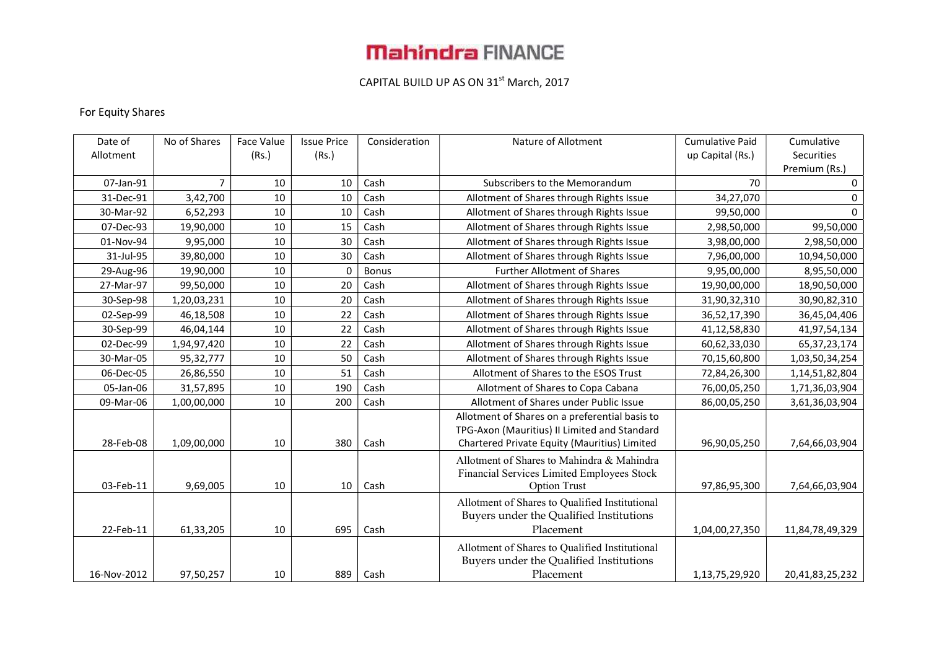# **Mahindra FINANCE**

### CAPITAL BUILD UP AS ON 31<sup>st</sup> March, 2017

### For Equity Shares

| Date of     | No of Shares | Face Value | <b>Issue Price</b> | Consideration | Nature of Allotment                            | <b>Cumulative Paid</b> | Cumulative      |
|-------------|--------------|------------|--------------------|---------------|------------------------------------------------|------------------------|-----------------|
| Allotment   |              | (Rs.)      | (Rs.)              |               |                                                | up Capital (Rs.)       | Securities      |
|             |              |            |                    |               |                                                |                        | Premium (Rs.)   |
| 07-Jan-91   | 7            | 10         | 10                 | Cash          | Subscribers to the Memorandum                  | 70                     | $\mathbf 0$     |
| 31-Dec-91   | 3,42,700     | 10         | 10                 | Cash          | Allotment of Shares through Rights Issue       | 34,27,070              | 0               |
| 30-Mar-92   | 6,52,293     | 10         | 10                 | Cash          | Allotment of Shares through Rights Issue       | 99,50,000              | $\Omega$        |
| 07-Dec-93   | 19,90,000    | 10         | 15                 | Cash          | Allotment of Shares through Rights Issue       | 2,98,50,000            | 99,50,000       |
| 01-Nov-94   | 9,95,000     | 10         | 30                 | Cash          | Allotment of Shares through Rights Issue       | 3,98,00,000            | 2,98,50,000     |
| 31-Jul-95   | 39,80,000    | 10         | 30                 | Cash          | Allotment of Shares through Rights Issue       | 7,96,00,000            | 10,94,50,000    |
| 29-Aug-96   | 19,90,000    | 10         | 0                  | <b>Bonus</b>  | <b>Further Allotment of Shares</b>             | 9,95,00,000            | 8,95,50,000     |
| 27-Mar-97   | 99,50,000    | 10         | 20                 | Cash          | Allotment of Shares through Rights Issue       | 19,90,00,000           | 18,90,50,000    |
| 30-Sep-98   | 1,20,03,231  | 10         | 20                 | Cash          | Allotment of Shares through Rights Issue       | 31,90,32,310           | 30,90,82,310    |
| 02-Sep-99   | 46,18,508    | 10         | 22                 | Cash          | Allotment of Shares through Rights Issue       | 36,52,17,390           | 36,45,04,406    |
| 30-Sep-99   | 46,04,144    | 10         | 22                 | Cash          | Allotment of Shares through Rights Issue       | 41,12,58,830           | 41,97,54,134    |
| 02-Dec-99   | 1,94,97,420  | 10         | 22                 | Cash          | Allotment of Shares through Rights Issue       | 60,62,33,030           | 65, 37, 23, 174 |
| 30-Mar-05   | 95,32,777    | 10         | 50                 | Cash          | Allotment of Shares through Rights Issue       | 70,15,60,800           | 1,03,50,34,254  |
| 06-Dec-05   | 26,86,550    | 10         | 51                 | Cash          | Allotment of Shares to the ESOS Trust          | 72,84,26,300           | 1,14,51,82,804  |
| 05-Jan-06   | 31,57,895    | 10         | 190                | Cash          | Allotment of Shares to Copa Cabana             | 76,00,05,250           | 1,71,36,03,904  |
| 09-Mar-06   | 1,00,00,000  | 10         | 200                | Cash          | Allotment of Shares under Public Issue         | 86,00,05,250           | 3,61,36,03,904  |
|             |              |            |                    |               | Allotment of Shares on a preferential basis to |                        |                 |
|             |              |            |                    |               | TPG-Axon (Mauritius) II Limited and Standard   |                        |                 |
| 28-Feb-08   | 1,09,00,000  | 10         | 380                | Cash          | Chartered Private Equity (Mauritius) Limited   | 96,90,05,250           | 7,64,66,03,904  |
|             |              |            |                    |               | Allotment of Shares to Mahindra & Mahindra     |                        |                 |
|             |              |            |                    |               | Financial Services Limited Employees Stock     |                        |                 |
| 03-Feb-11   | 9,69,005     | 10         | 10                 | Cash          | <b>Option Trust</b>                            | 97,86,95,300           | 7,64,66,03,904  |
|             |              |            |                    |               | Allotment of Shares to Qualified Institutional |                        |                 |
|             |              |            |                    |               | Buyers under the Qualified Institutions        |                        |                 |
| 22-Feb-11   | 61,33,205    | 10         | 695                | Cash          | Placement                                      | 1,04,00,27,350         | 11,84,78,49,329 |
|             |              |            |                    |               | Allotment of Shares to Qualified Institutional |                        |                 |
|             |              |            |                    |               | Buyers under the Qualified Institutions        |                        |                 |
| 16-Nov-2012 | 97,50,257    | 10         | 889                | Cash          | Placement                                      | 1,13,75,29,920         | 20,41,83,25,232 |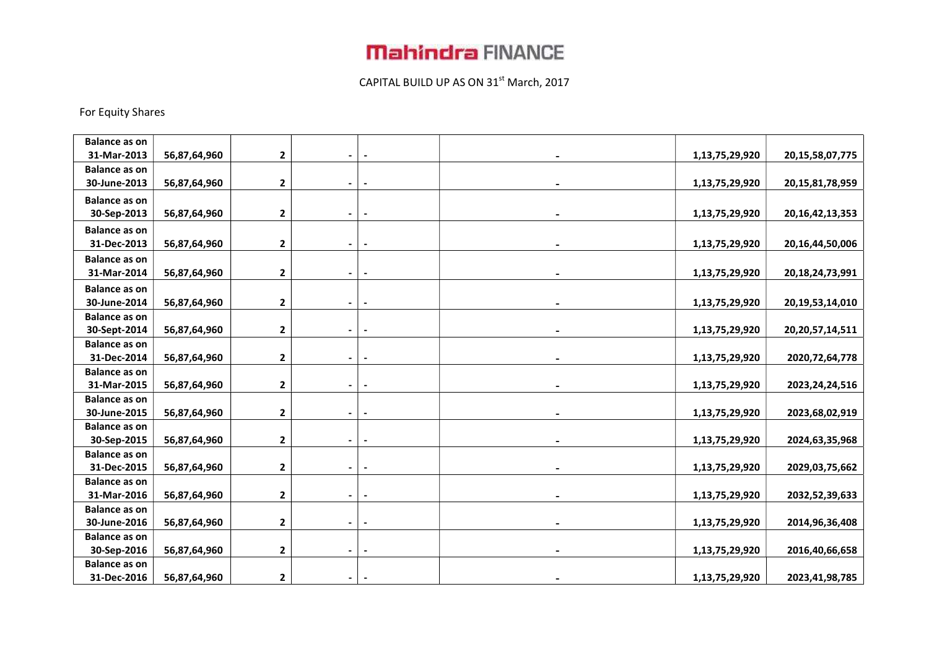# **Mahindra FINANCE**

### CAPITAL BUILD UP AS ON 31<sup>st</sup> March, 2017

#### For Equity Shares

| <b>Balance as on</b> |              |              |                |                          |                |                     |
|----------------------|--------------|--------------|----------------|--------------------------|----------------|---------------------|
| 31-Mar-2013          | 56,87,64,960 | $\mathbf{2}$ |                |                          | 1,13,75,29,920 | 20, 15, 58, 07, 775 |
| <b>Balance as on</b> |              |              |                |                          |                |                     |
| 30-June-2013         | 56,87,64,960 | 2            |                |                          | 1,13,75,29,920 | 20, 15, 81, 78, 959 |
| <b>Balance as on</b> |              |              |                |                          |                |                     |
| 30-Sep-2013          | 56,87,64,960 | $\mathbf{2}$ | $\blacksquare$ | $\overline{\phantom{a}}$ | 1,13,75,29,920 | 20, 16, 42, 13, 353 |
| <b>Balance as on</b> |              |              |                |                          |                |                     |
| 31-Dec-2013          | 56,87,64,960 | $\mathbf{2}$ | $\blacksquare$ |                          | 1,13,75,29,920 | 20, 16, 44, 50, 006 |
| <b>Balance as on</b> |              |              |                |                          |                |                     |
| 31-Mar-2014          | 56,87,64,960 | $\mathbf 2$  |                |                          | 1,13,75,29,920 | 20, 18, 24, 73, 991 |
| <b>Balance as on</b> |              |              |                |                          |                |                     |
| 30-June-2014         | 56,87,64,960 | $\mathbf 2$  |                |                          | 1,13,75,29,920 | 20, 19, 53, 14, 010 |
| <b>Balance as on</b> |              |              |                |                          |                |                     |
| 30-Sept-2014         | 56,87,64,960 | $\mathbf{2}$ |                |                          | 1,13,75,29,920 | 20, 20, 57, 14, 511 |
| <b>Balance as on</b> |              |              |                |                          |                |                     |
| 31-Dec-2014          | 56,87,64,960 | $\mathbf{2}$ |                |                          | 1,13,75,29,920 | 2020, 72, 64, 778   |
| <b>Balance as on</b> |              |              |                |                          |                |                     |
| 31-Mar-2015          | 56,87,64,960 | $\mathbf{2}$ |                |                          | 1,13,75,29,920 | 2023, 24, 24, 516   |
| <b>Balance as on</b> |              |              |                |                          |                |                     |
| 30-June-2015         | 56,87,64,960 | 2            | $\blacksquare$ |                          | 1,13,75,29,920 | 2023,68,02,919      |
| <b>Balance as on</b> |              |              |                |                          |                |                     |
| 30-Sep-2015          | 56,87,64,960 | $\mathbf 2$  |                |                          | 1,13,75,29,920 | 2024,63,35,968      |
| <b>Balance as on</b> |              |              |                |                          |                |                     |
| 31-Dec-2015          | 56,87,64,960 | 2            |                |                          | 1,13,75,29,920 | 2029,03,75,662      |
| <b>Balance as on</b> |              |              |                |                          |                |                     |
| 31-Mar-2016          | 56,87,64,960 | $\mathbf 2$  |                |                          | 1,13,75,29,920 | 2032,52,39,633      |
| <b>Balance as on</b> |              |              |                |                          |                |                     |
| 30-June-2016         | 56,87,64,960 | $\mathbf{2}$ |                |                          | 1,13,75,29,920 | 2014, 96, 36, 408   |
| <b>Balance as on</b> |              |              |                |                          |                |                     |
| 30-Sep-2016          | 56,87,64,960 | $\mathbf{2}$ |                |                          | 1,13,75,29,920 | 2016,40,66,658      |
| <b>Balance as on</b> |              |              |                |                          |                |                     |
| 31-Dec-2016          | 56,87,64,960 | $\mathbf{2}$ |                |                          | 1,13,75,29,920 | 2023,41,98,785      |